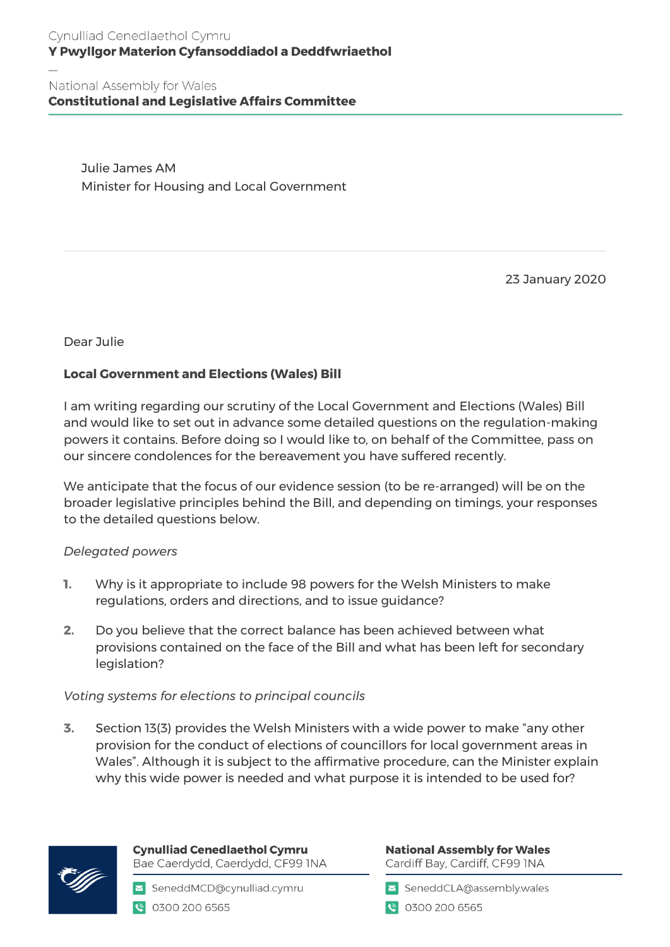# Cynulliad Cenedlaethol Cymru Y Pwyllgor Materion Cyfansoddiadol a Deddfwriaethol

National Assembly for Wales **Constitutional and Legislative Affairs Committee** 

> Julie James AM Minister for Housing and Local Government

> > 23 January 2020

Dear Julie

# **Local Government and Elections (Wales) Bill**

I am writing regarding our scrutiny of the Local Government and Elections (Wales) Bill and would like to set out in advance some detailed questions on the regulation-making powers it contains. Before doing so I would like to, on behalf of the Committee, pass on our sincere condolences for the bereavement you have suffered recently.

We anticipate that the focus of our evidence session (to be re-arranged) will be on the broader legislative principles behind the Bill, and depending on timings, your responses to the detailed questions below.

## *Delegated powers*

- **1.** Why is it appropriate to include 98 powers for the Welsh Ministers to make regulations, orders and directions, and to issue guidance?
- **2.** Do you believe that the correct balance has been achieved between what provisions contained on the face of the Bill and what has been left for secondary legislation?

#### *Voting systems for elections to principal councils*

**3.** Section 13(3) provides the Welsh Ministers with a wide power to make "any other provision for the conduct of elections of councillors for local government areas in Wales". Although it is subject to the affirmative procedure, can the Minister explain why this wide power is needed and what purpose it is intended to be used for?



**Cynulliad Cenedlaethol Cymru** Bae Caerdydd, Caerdydd, CF99 INA

SeneddMCD@cynulliad.cymru € 0300 200 6565

**National Assembly for Wales** Cardiff Bay, Cardiff, CF99 INA

SeneddCLA@assembly.wales

● 0300 200 6565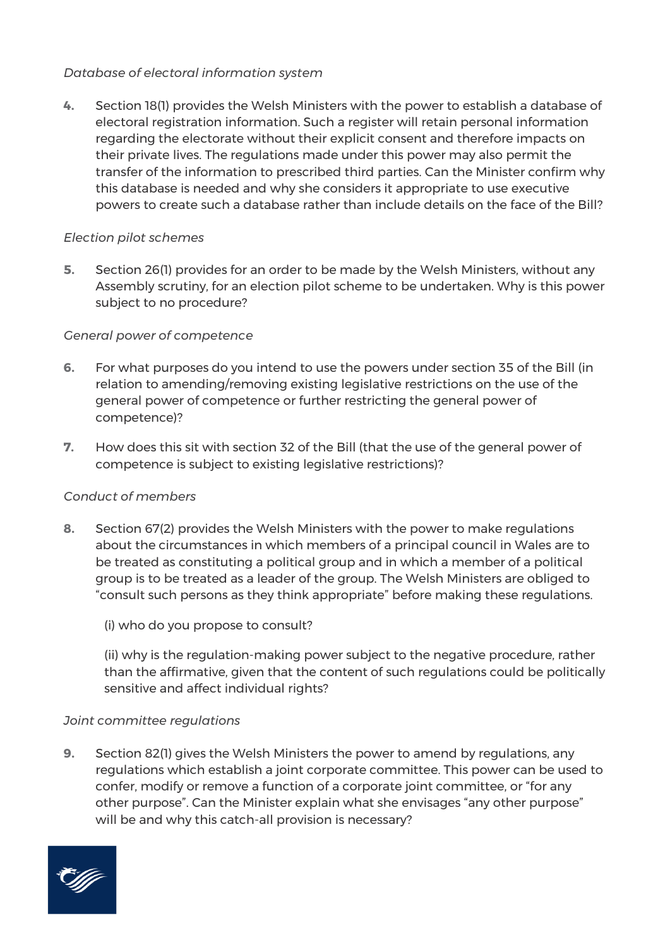# *Database of electoral information system*

**4.** Section 18(1) provides the Welsh Ministers with the power to establish a database of electoral registration information. Such a register will retain personal information regarding the electorate without their explicit consent and therefore impacts on their private lives. The regulations made under this power may also permit the transfer of the information to prescribed third parties. Can the Minister confirm why this database is needed and why she considers it appropriate to use executive powers to create such a database rather than include details on the face of the Bill?

## *Election pilot schemes*

**5.** Section 26(1) provides for an order to be made by the Welsh Ministers, without any Assembly scrutiny, for an election pilot scheme to be undertaken. Why is this power subject to no procedure?

## *General power of competence*

- **6.** For what purposes do you intend to use the powers under section 35 of the Bill (in relation to amending/removing existing legislative restrictions on the use of the general power of competence or further restricting the general power of competence)?
- **7.** How does this sit with section 32 of the Bill (that the use of the general power of competence is subject to existing legislative restrictions)?

## *Conduct of members*

- **8.** Section 67(2) provides the Welsh Ministers with the power to make regulations about the circumstances in which members of a principal council in Wales are to be treated as constituting a political group and in which a member of a political group is to be treated as a leader of the group. The Welsh Ministers are obliged to "consult such persons as they think appropriate" before making these regulations.
	- (i) who do you propose to consult?

(ii) why is the regulation-making power subject to the negative procedure, rather than the affirmative, given that the content of such regulations could be politically sensitive and affect individual rights?

#### *Joint committee regulations*

**9.** Section 82(1) gives the Welsh Ministers the power to amend by regulations, any regulations which establish a joint corporate committee. This power can be used to confer, modify or remove a function of a corporate joint committee, or "for any other purpose". Can the Minister explain what she envisages "any other purpose" will be and why this catch-all provision is necessary?

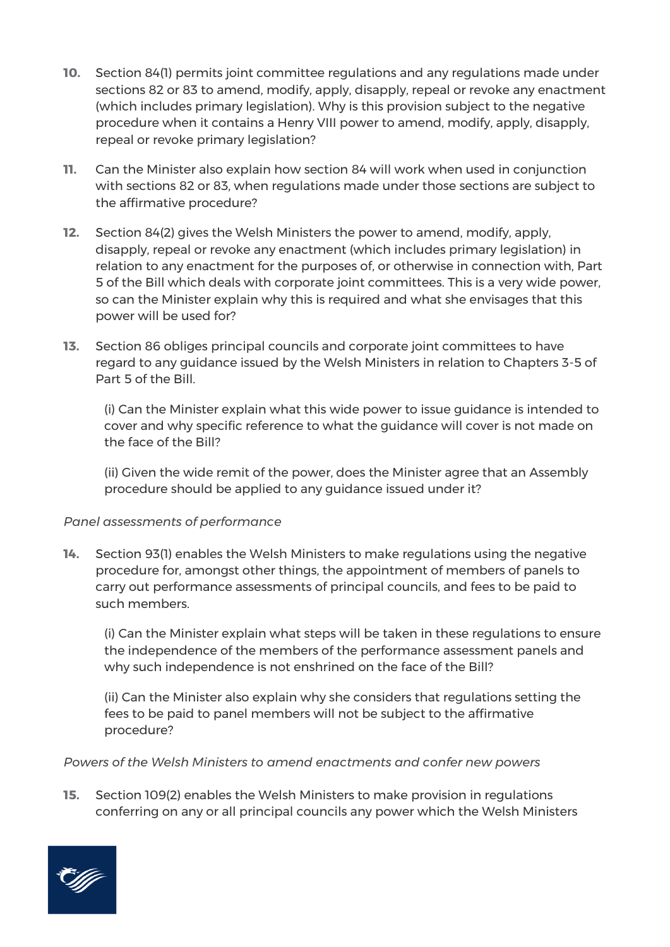- **10.** Section 84(1) permits joint committee regulations and any regulations made under sections 82 or 83 to amend, modify, apply, disapply, repeal or revoke any enactment (which includes primary legislation). Why is this provision subject to the negative procedure when it contains a Henry VIII power to amend, modify, apply, disapply, repeal or revoke primary legislation?
- **11.** Can the Minister also explain how section 84 will work when used in conjunction with sections 82 or 83, when regulations made under those sections are subject to the affirmative procedure?
- **12.** Section 84(2) gives the Welsh Ministers the power to amend, modify, apply, disapply, repeal or revoke any enactment (which includes primary legislation) in relation to any enactment for the purposes of, or otherwise in connection with, Part 5 of the Bill which deals with corporate joint committees. This is a very wide power, so can the Minister explain why this is required and what she envisages that this power will be used for?
- **13.** Section 86 obliges principal councils and corporate joint committees to have regard to any guidance issued by the Welsh Ministers in relation to Chapters 3-5 of Part 5 of the Bill.

(i) Can the Minister explain what this wide power to issue guidance is intended to cover and why specific reference to what the guidance will cover is not made on the face of the Bill?

(ii) Given the wide remit of the power, does the Minister agree that an Assembly procedure should be applied to any guidance issued under it?

## *Panel assessments of performance*

**14.** Section 93(1) enables the Welsh Ministers to make regulations using the negative procedure for, amongst other things, the appointment of members of panels to carry out performance assessments of principal councils, and fees to be paid to such members.

(i) Can the Minister explain what steps will be taken in these regulations to ensure the independence of the members of the performance assessment panels and why such independence is not enshrined on the face of the Bill?

(ii) Can the Minister also explain why she considers that regulations setting the fees to be paid to panel members will not be subject to the affirmative procedure?

## *Powers of the Welsh Ministers to amend enactments and confer new powers*

**15.** Section 109(2) enables the Welsh Ministers to make provision in regulations conferring on any or all principal councils any power which the Welsh Ministers

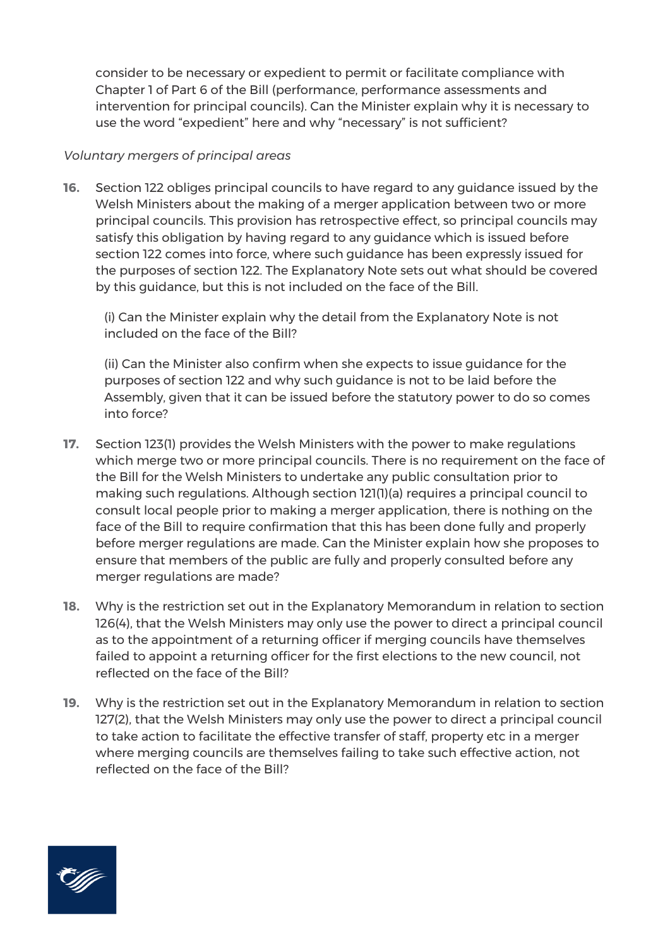consider to be necessary or expedient to permit or facilitate compliance with Chapter 1 of Part 6 of the Bill (performance, performance assessments and intervention for principal councils). Can the Minister explain why it is necessary to use the word "expedient" here and why "necessary" is not sufficient?

### *Voluntary mergers of principal areas*

**16.** Section 122 obliges principal councils to have regard to any guidance issued by the Welsh Ministers about the making of a merger application between two or more principal councils. This provision has retrospective effect, so principal councils may satisfy this obligation by having regard to any guidance which is issued before section 122 comes into force, where such guidance has been expressly issued for the purposes of section 122. The Explanatory Note sets out what should be covered by this guidance, but this is not included on the face of the Bill.

(i) Can the Minister explain why the detail from the Explanatory Note is not included on the face of the Bill?

(ii) Can the Minister also confirm when she expects to issue guidance for the purposes of section 122 and why such guidance is not to be laid before the Assembly, given that it can be issued before the statutory power to do so comes into force?

- **17.** Section 123(1) provides the Welsh Ministers with the power to make regulations which merge two or more principal councils. There is no requirement on the face of the Bill for the Welsh Ministers to undertake any public consultation prior to making such regulations. Although section 121(1)(a) requires a principal council to consult local people prior to making a merger application, there is nothing on the face of the Bill to require confirmation that this has been done fully and properly before merger regulations are made. Can the Minister explain how she proposes to ensure that members of the public are fully and properly consulted before any merger regulations are made?
- **18.** Why is the restriction set out in the Explanatory Memorandum in relation to section 126(4), that the Welsh Ministers may only use the power to direct a principal council as to the appointment of a returning officer if merging councils have themselves failed to appoint a returning officer for the first elections to the new council, not reflected on the face of the Bill?
- **19.** Why is the restriction set out in the Explanatory Memorandum in relation to section 127(2), that the Welsh Ministers may only use the power to direct a principal council to take action to facilitate the effective transfer of staff, property etc in a merger where merging councils are themselves failing to take such effective action, not reflected on the face of the Bill?

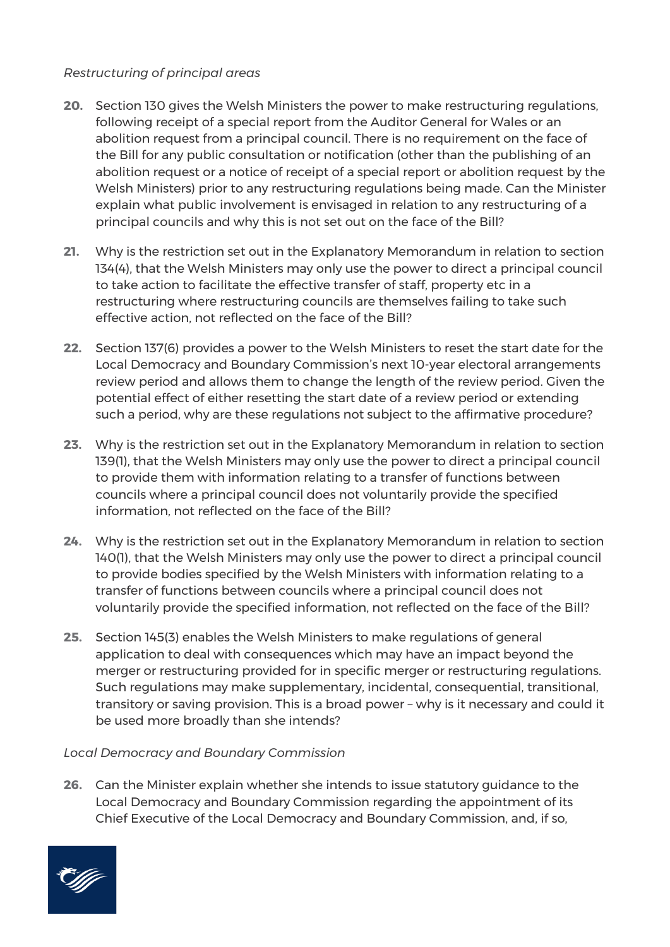# *Restructuring of principal areas*

- **20.** Section 130 gives the Welsh Ministers the power to make restructuring regulations, following receipt of a special report from the Auditor General for Wales or an abolition request from a principal council. There is no requirement on the face of the Bill for any public consultation or notification (other than the publishing of an abolition request or a notice of receipt of a special report or abolition request by the Welsh Ministers) prior to any restructuring regulations being made. Can the Minister explain what public involvement is envisaged in relation to any restructuring of a principal councils and why this is not set out on the face of the Bill?
- **21.** Why is the restriction set out in the Explanatory Memorandum in relation to section 134(4), that the Welsh Ministers may only use the power to direct a principal council to take action to facilitate the effective transfer of staff, property etc in a restructuring where restructuring councils are themselves failing to take such effective action, not reflected on the face of the Bill?
- **22.** Section 137(6) provides a power to the Welsh Ministers to reset the start date for the Local Democracy and Boundary Commission's next 10-year electoral arrangements review period and allows them to change the length of the review period. Given the potential effect of either resetting the start date of a review period or extending such a period, why are these regulations not subject to the affirmative procedure?
- **23.** Why is the restriction set out in the Explanatory Memorandum in relation to section 139(1), that the Welsh Ministers may only use the power to direct a principal council to provide them with information relating to a transfer of functions between councils where a principal council does not voluntarily provide the specified information, not reflected on the face of the Bill?
- **24.** Why is the restriction set out in the Explanatory Memorandum in relation to section 140(1), that the Welsh Ministers may only use the power to direct a principal council to provide bodies specified by the Welsh Ministers with information relating to a transfer of functions between councils where a principal council does not voluntarily provide the specified information, not reflected on the face of the Bill?
- **25.** Section 145(3) enables the Welsh Ministers to make regulations of general application to deal with consequences which may have an impact beyond the merger or restructuring provided for in specific merger or restructuring regulations. Such regulations may make supplementary, incidental, consequential, transitional, transitory or saving provision. This is a broad power – why is it necessary and could it be used more broadly than she intends?

## *Local Democracy and Boundary Commission*

**26.** Can the Minister explain whether she intends to issue statutory guidance to the Local Democracy and Boundary Commission regarding the appointment of its Chief Executive of the Local Democracy and Boundary Commission, and, if so,

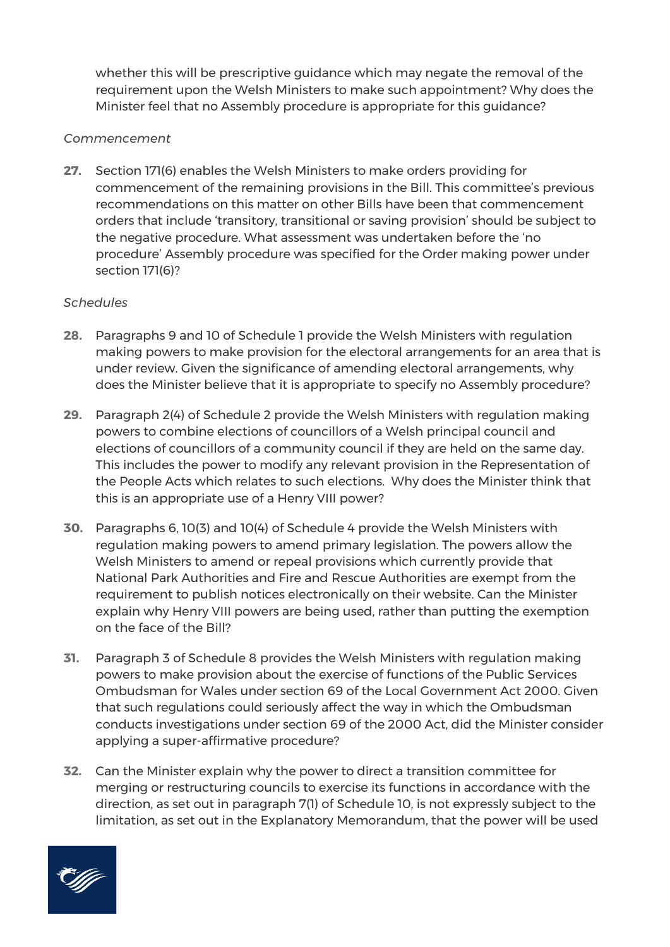whether this will be prescriptive guidance which may negate the removal of the requirement upon the Welsh Ministers to make such appointment? Why does the Minister feel that no Assembly procedure is appropriate for this guidance?

### *Commencement*

**27.** Section 171(6) enables the Welsh Ministers to make orders providing for commencement of the remaining provisions in the Bill. This committee's previous recommendations on this matter on other Bills have been that commencement orders that include 'transitory, transitional or saving provision' should be subject to the negative procedure. What assessment was undertaken before the 'no procedure' Assembly procedure was specified for the Order making power under section 171(6)?

### *Schedules*

- **28.** Paragraphs 9 and 10 of Schedule 1 provide the Welsh Ministers with regulation making powers to make provision for the electoral arrangements for an area that is under review. Given the significance of amending electoral arrangements, why does the Minister believe that it is appropriate to specify no Assembly procedure?
- **29.** Paragraph 2(4) of Schedule 2 provide the Welsh Ministers with regulation making powers to combine elections of councillors of a Welsh principal council and elections of councillors of a community council if they are held on the same day. This includes the power to modify any relevant provision in the Representation of the People Acts which relates to such elections. Why does the Minister think that this is an appropriate use of a Henry VIII power?
- **30.** Paragraphs 6, 10(3) and 10(4) of Schedule 4 provide the Welsh Ministers with regulation making powers to amend primary legislation. The powers allow the Welsh Ministers to amend or repeal provisions which currently provide that National Park Authorities and Fire and Rescue Authorities are exempt from the requirement to publish notices electronically on their website. Can the Minister explain why Henry VIII powers are being used, rather than putting the exemption on the face of the Bill?
- **31.** Paragraph 3 of Schedule 8 provides the Welsh Ministers with regulation making powers to make provision about the exercise of functions of the Public Services Ombudsman for Wales under section 69 of the Local Government Act 2000. Given that such regulations could seriously affect the way in which the Ombudsman conducts investigations under section 69 of the 2000 Act, did the Minister consider applying a super-affirmative procedure?
- **32.** Can the Minister explain why the power to direct a transition committee for merging or restructuring councils to exercise its functions in accordance with the direction, as set out in paragraph 7(1) of Schedule 10, is not expressly subject to the limitation, as set out in the Explanatory Memorandum, that the power will be used